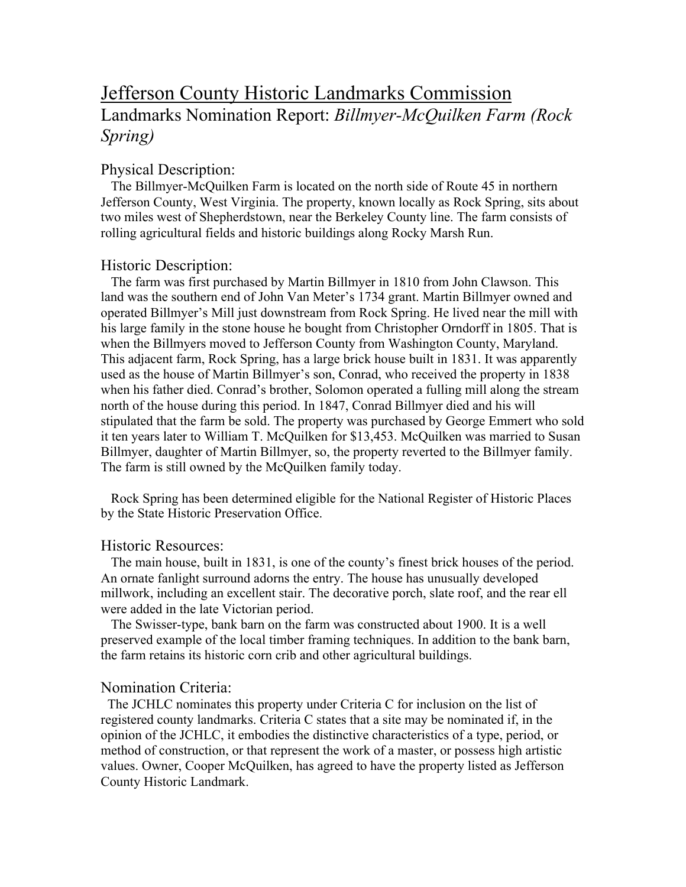# Jefferson County Historic Landmarks Commission Landmarks Nomination Report: *Billmyer-McQuilken Farm (Rock Spring)*

## Physical Description:

 The Billmyer-McQuilken Farm is located on the north side of Route 45 in northern Jefferson County, West Virginia. The property, known locally as Rock Spring, sits about two miles west of Shepherdstown, near the Berkeley County line. The farm consists of rolling agricultural fields and historic buildings along Rocky Marsh Run.

#### Historic Description:

 The farm was first purchased by Martin Billmyer in 1810 from John Clawson. This land was the southern end of John Van Meter's 1734 grant. Martin Billmyer owned and operated Billmyer's Mill just downstream from Rock Spring. He lived near the mill with his large family in the stone house he bought from Christopher Orndorff in 1805. That is when the Billmyers moved to Jefferson County from Washington County, Maryland. This adjacent farm, Rock Spring, has a large brick house built in 1831. It was apparently used as the house of Martin Billmyer's son, Conrad, who received the property in 1838 when his father died. Conrad's brother, Solomon operated a fulling mill along the stream north of the house during this period. In 1847, Conrad Billmyer died and his will stipulated that the farm be sold. The property was purchased by George Emmert who sold it ten years later to William T. McQuilken for \$13,453. McQuilken was married to Susan Billmyer, daughter of Martin Billmyer, so, the property reverted to the Billmyer family. The farm is still owned by the McQuilken family today.

 Rock Spring has been determined eligible for the National Register of Historic Places by the State Historic Preservation Office.

### Historic Resources:

 The main house, built in 1831, is one of the county's finest brick houses of the period. An ornate fanlight surround adorns the entry. The house has unusually developed millwork, including an excellent stair. The decorative porch, slate roof, and the rear ell were added in the late Victorian period.

 The Swisser-type, bank barn on the farm was constructed about 1900. It is a well preserved example of the local timber framing techniques. In addition to the bank barn, the farm retains its historic corn crib and other agricultural buildings.

### Nomination Criteria:

 The JCHLC nominates this property under Criteria C for inclusion on the list of registered county landmarks. Criteria C states that a site may be nominated if, in the opinion of the JCHLC, it embodies the distinctive characteristics of a type, period, or method of construction, or that represent the work of a master, or possess high artistic values. Owner, Cooper McQuilken, has agreed to have the property listed as Jefferson County Historic Landmark.